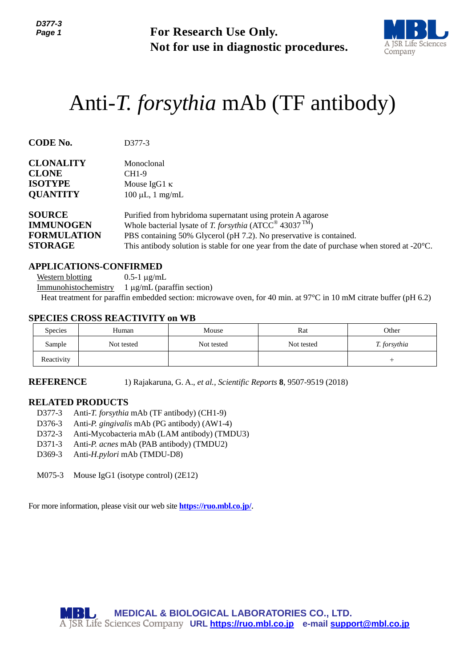

# Anti-*T. forsythia* mAb (TF antibody)

| Page 1                                                                              |                                                                                                                                                                                                                                                               | <b>For Research Use Only.</b><br>Not for use in diagnostic procedures.                                                                                                                                    |            |                                                                                                                               |  |  |  |
|-------------------------------------------------------------------------------------|---------------------------------------------------------------------------------------------------------------------------------------------------------------------------------------------------------------------------------------------------------------|-----------------------------------------------------------------------------------------------------------------------------------------------------------------------------------------------------------|------------|-------------------------------------------------------------------------------------------------------------------------------|--|--|--|
|                                                                                     | Anti- <i>T. forsythia</i> mAb (TF antibody)                                                                                                                                                                                                                   |                                                                                                                                                                                                           |            |                                                                                                                               |  |  |  |
| <b>CODE No.</b>                                                                     | D377-3                                                                                                                                                                                                                                                        |                                                                                                                                                                                                           |            |                                                                                                                               |  |  |  |
| <b>CLONALITY</b><br><b>CLONE</b><br><b>ISOTYPE</b><br><b>QUANTITY</b>               | Monoclonal<br>CH1-9                                                                                                                                                                                                                                           | Mouse IgG1 $\kappa$<br>$100 \mu L$ , 1 mg/mL                                                                                                                                                              |            |                                                                                                                               |  |  |  |
| <b>SOURCE</b><br><b>IMMUNOGEN</b><br><b>FORMULATION</b><br><b>STORAGE</b>           |                                                                                                                                                                                                                                                               | Purified from hybridoma supernatant using protein A agarose<br>Whole bacterial lysate of T. forsythia (ATCC® 43037 <sup>TM</sup> )<br>PBS containing 50% Glycerol (pH 7.2). No preservative is contained. |            | This antibody solution is stable for one year from the date of purchase when stored at $-20^{\circ}$ C.                       |  |  |  |
| <b>Western blotting</b><br>Immunohistochemistry                                     | <b>APPLICATIONS-CONFIRMED</b><br>$0.5-1 \mu g/mL$<br>$1 \mu g/mL$ (paraffin section)<br><b>SPECIES CROSS REACTIVITY on WB</b>                                                                                                                                 |                                                                                                                                                                                                           |            | Heat treatment for paraffin embedded section: microwave oven, for 40 min. at 97 $^{\circ}$ C in 10 mM citrate buffer (pH 6.2) |  |  |  |
| Species                                                                             | Human                                                                                                                                                                                                                                                         | Mouse                                                                                                                                                                                                     | Rat        | Other                                                                                                                         |  |  |  |
| Sample                                                                              | Not tested                                                                                                                                                                                                                                                    | Not tested                                                                                                                                                                                                | Not tested | T. forsythia                                                                                                                  |  |  |  |
| Reactivity                                                                          |                                                                                                                                                                                                                                                               |                                                                                                                                                                                                           |            | $^{+}$                                                                                                                        |  |  |  |
| <b>REFERENCE</b>                                                                    |                                                                                                                                                                                                                                                               | 1) Rajakaruna, G. A., et al., Scientific Reports 8, 9507-9519 (2018)                                                                                                                                      |            |                                                                                                                               |  |  |  |
| <b>RELATED PRODUCTS</b><br>D377-3<br>D376-3<br>D372-3<br>D371-3<br>D369-3<br>M075-3 | Anti-T. forsythia mAb (TF antibody) (CH1-9)<br>Anti-P. gingivalis mAb (PG antibody) (AW1-4)<br>Anti-Mycobacteria mAb (LAM antibody) (TMDU3)<br>Anti-P. acnes mAb (PAB antibody) (TMDU2)<br>Anti-H.pylori mAb (TMDU-D8)<br>Mouse IgG1 (isotype control) (2E12) |                                                                                                                                                                                                           |            |                                                                                                                               |  |  |  |
|                                                                                     | For more information, please visit our web site <b>https://ruo.mbl.co.jp/</b> .                                                                                                                                                                               |                                                                                                                                                                                                           |            |                                                                                                                               |  |  |  |
|                                                                                     | MBIL                                                                                                                                                                                                                                                          | <b>MEDICAL &amp; BIOLOGICAL LABORATORIES CO., LTD.</b><br>A JSR Life Sciences Company URL https://ruo.mbl.co.jp e-mail support@mbl.co.jp                                                                  |            |                                                                                                                               |  |  |  |

### **APPLICATIONS-CONFIRMED**

#### **SPECIES CROSS REACTIVITY on WB**

| <b>Species</b> | Human      | Mouse      | Rat        | Other        |
|----------------|------------|------------|------------|--------------|
| Sample         | Not tested | Not tested | Not tested | T. forsythia |
| Reactivity     |            |            |            |              |

#### **RELATED PRODUCTS**

- D377-3 Anti-*T. forsythia* mAb (TF antibody) (CH1-9)
- D376-3 Anti-*P. gingivalis* mAb (PG antibody) (AW1-4)
- D372-3 Anti-Mycobacteria mAb (LAM antibody) (TMDU3)
- D371-3 Anti-*P. acnes* mAb (PAB antibody) (TMDU2)
- D369-3 Anti-*H.pylori* mAb (TMDU-D8)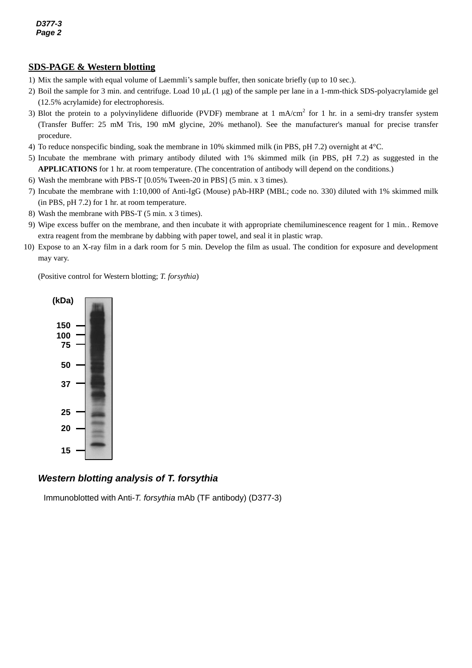# **SDS-PAGE & Western blotting**

- 1) Mix the sample with equal volume of Laemmli's sample buffer, then sonicate briefly (up to 10 sec.).
- 2) Boil the sample for 3 min. and centrifuge. Load 10  $\mu$ L (1  $\mu$ g) of the sample per lane in a 1-mm-thick SDS-polyacrylamide gel (12.5% acrylamide) for electrophoresis.
- 3) Blot the protein to a polyvinylidene difluoride (PVDF) membrane at 1 mA/cm<sup>2</sup> for 1 hr. in a semi-dry transfer system (Transfer Buffer: 25 mM Tris, 190 mM glycine, 20% methanol). See the manufacturer's manual for precise transfer procedure.
- 4) To reduce nonspecific binding, soak the membrane in 10% skimmed milk (in PBS, pH 7.2) overnight at 4°C.
- 5) Incubate the membrane with primary antibody diluted with 1% skimmed milk (in PBS, pH 7.2) as suggested in the **APPLICATIONS** for 1 hr. at room temperature. (The concentration of antibody will depend on the conditions.)
- 6) Wash the membrane with PBS-T [0.05% Tween-20 in PBS] (5 min. x 3 times).
- 7) Incubate the membrane with 1:10,000 of Anti-IgG (Mouse) pAb-HRP (MBL; code no. 330) diluted with 1% skimmed milk (in PBS, pH 7.2) for 1 hr. at room temperature.
- 8) Wash the membrane with PBS-T (5 min. x 3 times).
- 9) Wipe excess buffer on the membrane, and then incubate it with appropriate chemiluminescence reagent for 1 min.. Remove extra reagent from the membrane by dabbing with paper towel, and seal it in plastic wrap.
- 10) Expose to an X-ray film in a dark room for 5 min. Develop the film as usual. The condition for exposure and development may vary.

(Positive control for Western blotting; *T. forsythia*)



#### *Western blotting analysis of T. forsythia*

Immunoblotted with Anti-*T. forsythia* mAb (TF antibody) (D377-3)